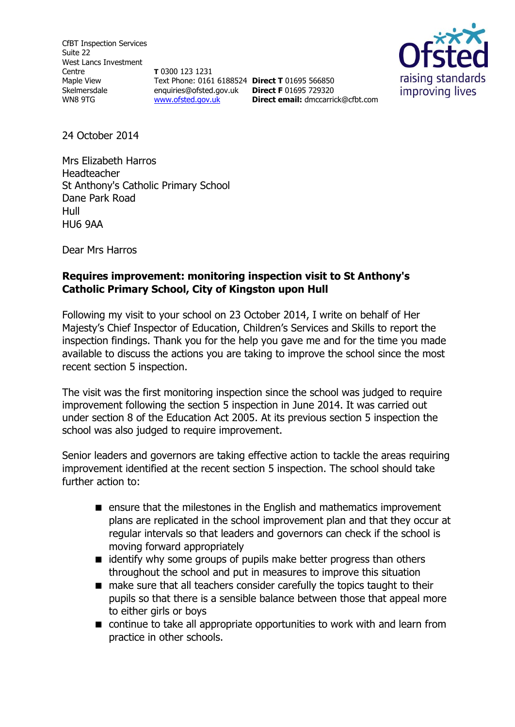CfBT Inspection Services Suite 22 West Lancs Investment Centre Maple View Skelmersdale WN8 9TG

**T** 0300 123 1231 Text Phone: 0161 6188524 **Direct T** 01695 566850 enquiries@ofsted.gov.uk **Direct F** 01695 729320 [www.ofsted.gov.uk](http://www.ofsted.gov.uk/)



24 October 2014

Mrs Elizabeth Harros Headteacher St Anthony's Catholic Primary School Dane Park Road Hull HU6 9AA

Dear Mrs Harros

## **Requires improvement: monitoring inspection visit to St Anthony's Catholic Primary School, City of Kingston upon Hull**

Following my visit to your school on 23 October 2014, I write on behalf of Her Majesty's Chief Inspector of Education, Children's Services and Skills to report the inspection findings. Thank you for the help you gave me and for the time you made available to discuss the actions you are taking to improve the school since the most recent section 5 inspection.

**Direct email:** [dmccarrick@cfbt.com](file:///C:/Users/myoung/AppData/Local/Microsoft/Windows/Temporary%20Internet%20Files/Content.IE5/FRB9VA1O/dmccarrick@cfbt.com)

The visit was the first monitoring inspection since the school was judged to require improvement following the section 5 inspection in June 2014. It was carried out under section 8 of the Education Act 2005. At its previous section 5 inspection the school was also judged to require improvement.

Senior leaders and governors are taking effective action to tackle the areas requiring improvement identified at the recent section 5 inspection. The school should take further action to:

- **E** ensure that the milestones in the English and mathematics improvement plans are replicated in the school improvement plan and that they occur at regular intervals so that leaders and governors can check if the school is moving forward appropriately
- $\blacksquare$  identify why some groups of pupils make better progress than others throughout the school and put in measures to improve this situation
- make sure that all teachers consider carefully the topics taught to their pupils so that there is a sensible balance between those that appeal more to either girls or boys
- continue to take all appropriate opportunities to work with and learn from practice in other schools.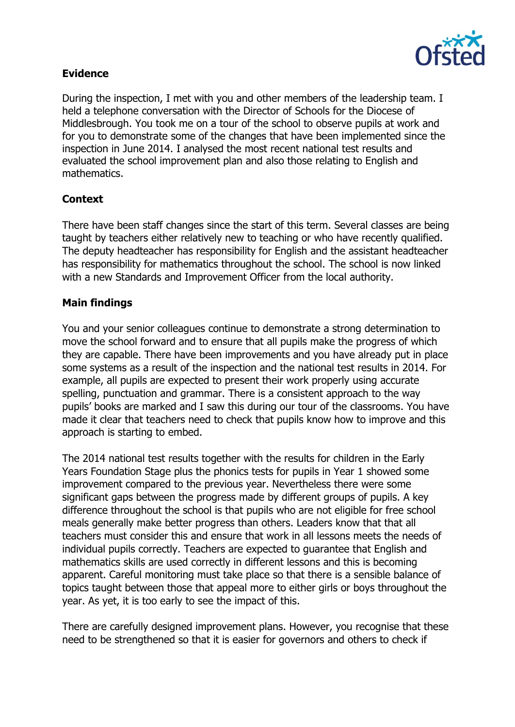

### **Evidence**

During the inspection, I met with you and other members of the leadership team. I held a telephone conversation with the Director of Schools for the Diocese of Middlesbrough. You took me on a tour of the school to observe pupils at work and for you to demonstrate some of the changes that have been implemented since the inspection in June 2014. I analysed the most recent national test results and evaluated the school improvement plan and also those relating to English and mathematics.

# **Context**

There have been staff changes since the start of this term. Several classes are being taught by teachers either relatively new to teaching or who have recently qualified. The deputy headteacher has responsibility for English and the assistant headteacher has responsibility for mathematics throughout the school. The school is now linked with a new Standards and Improvement Officer from the local authority.

# **Main findings**

You and your senior colleagues continue to demonstrate a strong determination to move the school forward and to ensure that all pupils make the progress of which they are capable. There have been improvements and you have already put in place some systems as a result of the inspection and the national test results in 2014. For example, all pupils are expected to present their work properly using accurate spelling, punctuation and grammar. There is a consistent approach to the way pupils' books are marked and I saw this during our tour of the classrooms. You have made it clear that teachers need to check that pupils know how to improve and this approach is starting to embed.

The 2014 national test results together with the results for children in the Early Years Foundation Stage plus the phonics tests for pupils in Year 1 showed some improvement compared to the previous year. Nevertheless there were some significant gaps between the progress made by different groups of pupils. A key difference throughout the school is that pupils who are not eligible for free school meals generally make better progress than others. Leaders know that that all teachers must consider this and ensure that work in all lessons meets the needs of individual pupils correctly. Teachers are expected to guarantee that English and mathematics skills are used correctly in different lessons and this is becoming apparent. Careful monitoring must take place so that there is a sensible balance of topics taught between those that appeal more to either girls or boys throughout the year. As yet, it is too early to see the impact of this.

There are carefully designed improvement plans. However, you recognise that these need to be strengthened so that it is easier for governors and others to check if